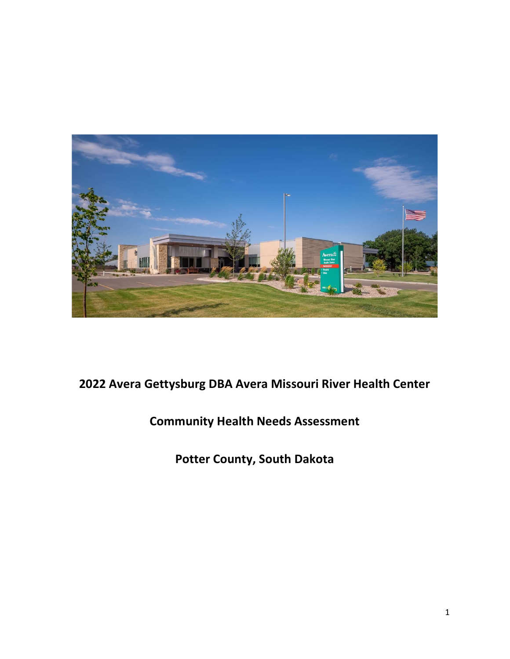

# 2022 Avera Gettysburg DBA Avera Missouri River Health Center

# Community Health Needs Assessment

Potter County, South Dakota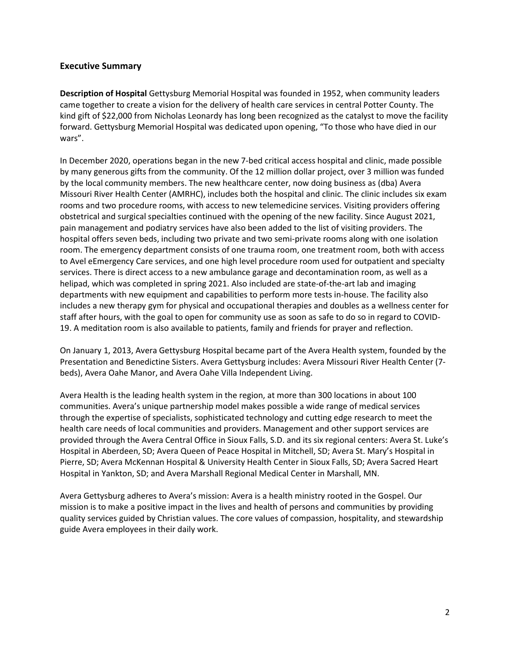## Executive Summary

Description of Hospital Gettysburg Memorial Hospital was founded in 1952, when community leaders came together to create a vision for the delivery of health care services in central Potter County. The kind gift of \$22,000 from Nicholas Leonardy has long been recognized as the catalyst to move the facility forward. Gettysburg Memorial Hospital was dedicated upon opening, "To those who have died in our wars".

In December 2020, operations began in the new 7-bed critical access hospital and clinic, made possible by many generous gifts from the community. Of the 12 million dollar project, over 3 million was funded by the local community members. The new healthcare center, now doing business as (dba) Avera Missouri River Health Center (AMRHC), includes both the hospital and clinic. The clinic includes six exam rooms and two procedure rooms, with access to new telemedicine services. Visiting providers offering obstetrical and surgical specialties continued with the opening of the new facility. Since August 2021, pain management and podiatry services have also been added to the list of visiting providers. The hospital offers seven beds, including two private and two semi-private rooms along with one isolation room. The emergency department consists of one trauma room, one treatment room, both with access to Avel eEmergency Care services, and one high level procedure room used for outpatient and specialty services. There is direct access to a new ambulance garage and decontamination room, as well as a helipad, which was completed in spring 2021. Also included are state-of-the-art lab and imaging departments with new equipment and capabilities to perform more tests in-house. The facility also includes a new therapy gym for physical and occupational therapies and doubles as a wellness center for staff after hours, with the goal to open for community use as soon as safe to do so in regard to COVID-19. A meditation room is also available to patients, family and friends for prayer and reflection.

On January 1, 2013, Avera Gettysburg Hospital became part of the Avera Health system, founded by the Presentation and Benedictine Sisters. Avera Gettysburg includes: Avera Missouri River Health Center (7 beds), Avera Oahe Manor, and Avera Oahe Villa Independent Living.

Avera Health is the leading health system in the region, at more than 300 locations in about 100 communities. Avera's unique partnership model makes possible a wide range of medical services through the expertise of specialists, sophisticated technology and cutting edge research to meet the health care needs of local communities and providers. Management and other support services are provided through the Avera Central Office in Sioux Falls, S.D. and its six regional centers: Avera St. Luke's Hospital in Aberdeen, SD; Avera Queen of Peace Hospital in Mitchell, SD; Avera St. Mary's Hospital in Pierre, SD; Avera McKennan Hospital & University Health Center in Sioux Falls, SD; Avera Sacred Heart Hospital in Yankton, SD; and Avera Marshall Regional Medical Center in Marshall, MN.

Avera Gettysburg adheres to Avera's mission: Avera is a health ministry rooted in the Gospel. Our mission is to make a positive impact in the lives and health of persons and communities by providing quality services guided by Christian values. The core values of compassion, hospitality, and stewardship guide Avera employees in their daily work.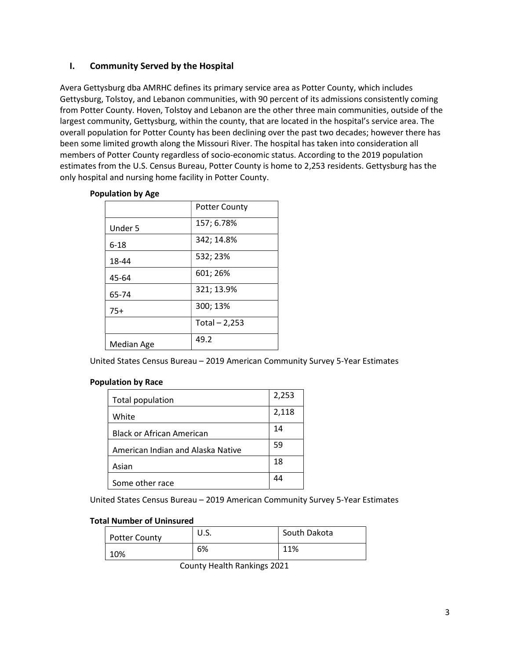# I. Community Served by the Hospital

Avera Gettysburg dba AMRHC defines its primary service area as Potter County, which includes Gettysburg, Tolstoy, and Lebanon communities, with 90 percent of its admissions consistently coming from Potter County. Hoven, Tolstoy and Lebanon are the other three main communities, outside of the largest community, Gettysburg, within the county, that are located in the hospital's service area. The overall population for Potter County has been declining over the past two decades; however there has been some limited growth along the Missouri River. The hospital has taken into consideration all members of Potter County regardless of socio-economic status. According to the 2019 population estimates from the U.S. Census Bureau, Potter County is home to 2,253 residents. Gettysburg has the only hospital and nursing home facility in Potter County.

| MININII NY MAL |                      |
|----------------|----------------------|
|                | <b>Potter County</b> |
| Under 5        | 157; 6.78%           |
| $6 - 18$       | 342; 14.8%           |
| 18-44          | 532; 23%             |
| 45-64          | 601; 26%             |
| 65-74          | 321; 13.9%           |
| $75+$          | 300; 13%             |
|                | Total $-2,253$       |
| Median Age     | 49.2                 |

#### Population by Age

United States Census Bureau – 2019 American Community Survey 5-Year Estimates

## Population by Race

| <b>Total population</b>           | 2,253 |
|-----------------------------------|-------|
| White                             | 2,118 |
| <b>Black or African American</b>  | 14    |
| American Indian and Alaska Native | 59    |
| Asian                             | 18    |
| Some other race                   | 44    |

United States Census Bureau – 2019 American Community Survey 5-Year Estimates

#### Total Number of Uninsured

| <b>Potter County</b> | U.S. | South Dakota |
|----------------------|------|--------------|
| 10%                  | 6%   | 11%          |

County Health Rankings 2021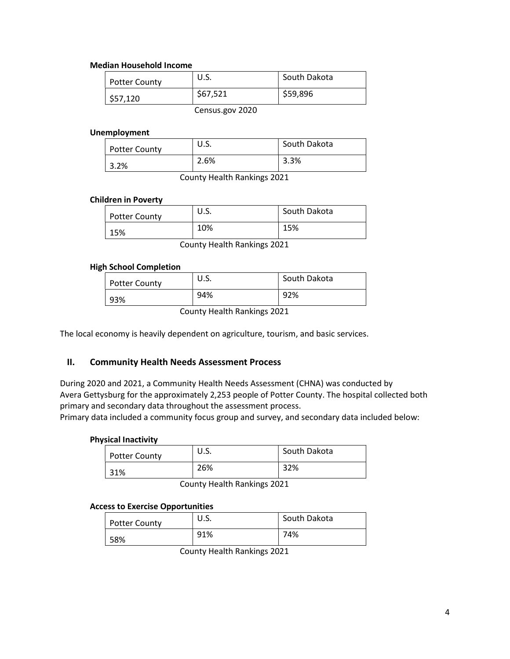#### Median Household Income

| <b>Potter County</b> | U.S.     | South Dakota |
|----------------------|----------|--------------|
| \$57,120             | \$67,521 | \$59,896     |
|                      | ----     |              |

Census.gov 2020

#### Unemployment

| <b>Potter County</b> | U.S. | South Dakota |
|----------------------|------|--------------|
| 3.2%                 | 2.6% | 3.3%         |

County Health Rankings 2021

## Children in Poverty

| <b>Potter County</b> | U.S. | South Dakota |
|----------------------|------|--------------|
| 15%                  | 10%  | 15%          |
|                      |      |              |

County Health Rankings 2021

## High School Completion

| <b>Potter County</b> | U.S. | South Dakota |
|----------------------|------|--------------|
| 93%                  | 94%  | 92%          |

County Health Rankings 2021

The local economy is heavily dependent on agriculture, tourism, and basic services.

## II. Community Health Needs Assessment Process

During 2020 and 2021, a Community Health Needs Assessment (CHNA) was conducted by Avera Gettysburg for the approximately 2,253 people of Potter County. The hospital collected both primary and secondary data throughout the assessment process.

Primary data included a community focus group and survey, and secondary data included below:

#### Physical Inactivity

| <b>Potter County</b> | U.S. | South Dakota |
|----------------------|------|--------------|
| 31%                  | 26%  | 32%          |

County Health Rankings 2021

#### Access to Exercise Opportunities

| <b>Potter County</b> | U.S. | South Dakota |
|----------------------|------|--------------|
| 58%                  | 91%  | 74%          |

County Health Rankings 2021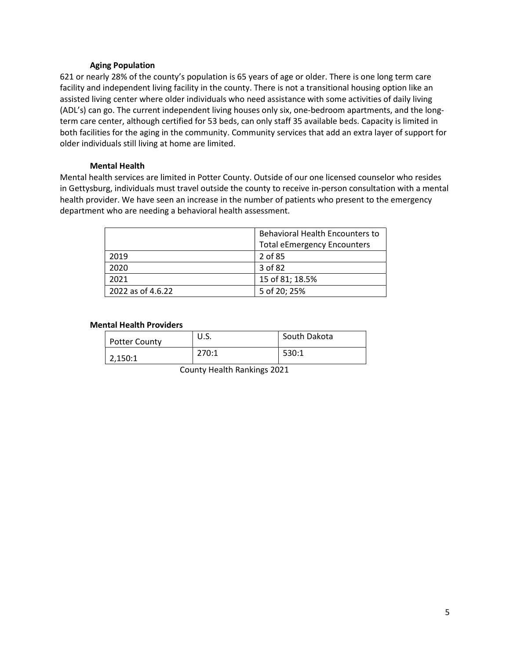#### Aging Population

621 or nearly 28% of the county's population is 65 years of age or older. There is one long term care facility and independent living facility in the county. There is not a transitional housing option like an assisted living center where older individuals who need assistance with some activities of daily living (ADL's) can go. The current independent living houses only six, one-bedroom apartments, and the longterm care center, although certified for 53 beds, can only staff 35 available beds. Capacity is limited in both facilities for the aging in the community. Community services that add an extra layer of support for older individuals still living at home are limited.

#### Mental Health

Mental health services are limited in Potter County. Outside of our one licensed counselor who resides in Gettysburg, individuals must travel outside the county to receive in-person consultation with a mental health provider. We have seen an increase in the number of patients who present to the emergency department who are needing a behavioral health assessment.

|                   | <b>Behavioral Health Encounters to</b> |  |
|-------------------|----------------------------------------|--|
|                   | <b>Total eEmergency Encounters</b>     |  |
| 2019              | 2 of 85                                |  |
| 2020              | 3 of 82                                |  |
| 2021              | 15 of 81; 18.5%                        |  |
| 2022 as of 4.6.22 | 5 of 20; 25%                           |  |

#### Mental Health Providers

| <b>Potter County</b> | U.S.  | South Dakota |
|----------------------|-------|--------------|
| 2,150:1              | 270:1 | 530:1        |

County Health Rankings 2021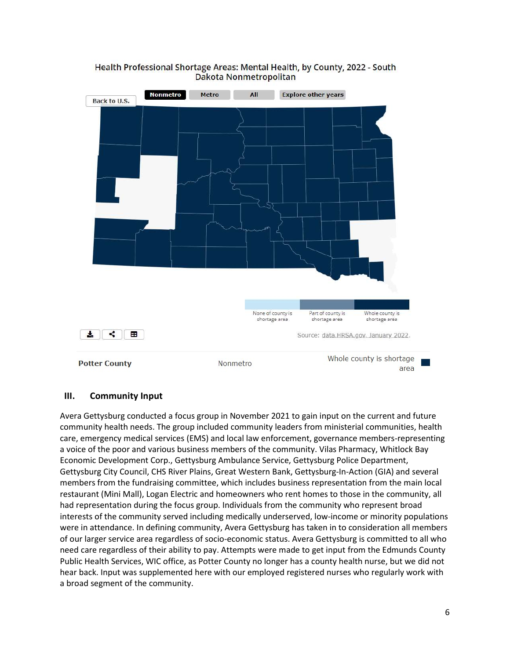

## Health Professional Shortage Areas: Mental Health, by County, 2022 - South Dakota Nonmetropolitan

## III. Community Input

Avera Gettysburg conducted a focus group in November 2021 to gain input on the current and future community health needs. The group included community leaders from ministerial communities, health care, emergency medical services (EMS) and local law enforcement, governance members-representing a voice of the poor and various business members of the community. Vilas Pharmacy, Whitlock Bay Economic Development Corp., Gettysburg Ambulance Service, Gettysburg Police Department, Gettysburg City Council, CHS River Plains, Great Western Bank, Gettysburg-In-Action (GIA) and several members from the fundraising committee, which includes business representation from the main local restaurant (Mini Mall), Logan Electric and homeowners who rent homes to those in the community, all had representation during the focus group. Individuals from the community who represent broad interests of the community served including medically underserved, low-income or minority populations were in attendance. In defining community, Avera Gettysburg has taken in to consideration all members of our larger service area regardless of socio-economic status. Avera Gettysburg is committed to all who need care regardless of their ability to pay. Attempts were made to get input from the Edmunds County Public Health Services, WIC office, as Potter County no longer has a county health nurse, but we did not hear back. Input was supplemented here with our employed registered nurses who regularly work with a broad segment of the community.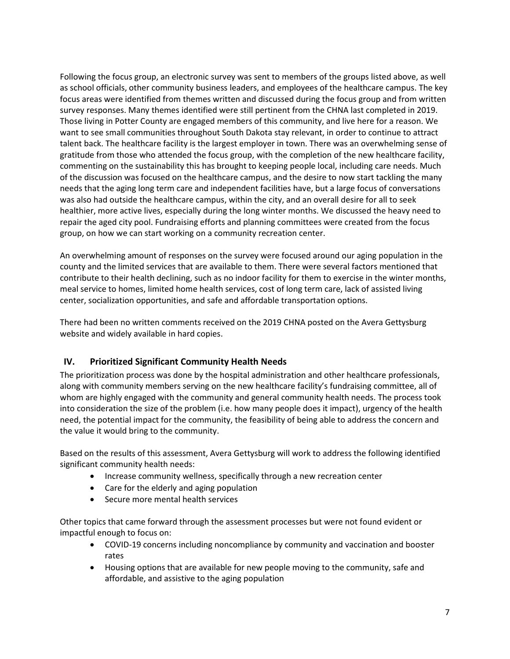Following the focus group, an electronic survey was sent to members of the groups listed above, as well as school officials, other community business leaders, and employees of the healthcare campus. The key focus areas were identified from themes written and discussed during the focus group and from written survey responses. Many themes identified were still pertinent from the CHNA last completed in 2019. Those living in Potter County are engaged members of this community, and live here for a reason. We want to see small communities throughout South Dakota stay relevant, in order to continue to attract talent back. The healthcare facility is the largest employer in town. There was an overwhelming sense of gratitude from those who attended the focus group, with the completion of the new healthcare facility, commenting on the sustainability this has brought to keeping people local, including care needs. Much of the discussion was focused on the healthcare campus, and the desire to now start tackling the many needs that the aging long term care and independent facilities have, but a large focus of conversations was also had outside the healthcare campus, within the city, and an overall desire for all to seek healthier, more active lives, especially during the long winter months. We discussed the heavy need to repair the aged city pool. Fundraising efforts and planning committees were created from the focus group, on how we can start working on a community recreation center.

An overwhelming amount of responses on the survey were focused around our aging population in the county and the limited services that are available to them. There were several factors mentioned that contribute to their health declining, such as no indoor facility for them to exercise in the winter months, meal service to homes, limited home health services, cost of long term care, lack of assisted living center, socialization opportunities, and safe and affordable transportation options.

There had been no written comments received on the 2019 CHNA posted on the Avera Gettysburg website and widely available in hard copies.

# IV. Prioritized Significant Community Health Needs

The prioritization process was done by the hospital administration and other healthcare professionals, along with community members serving on the new healthcare facility's fundraising committee, all of whom are highly engaged with the community and general community health needs. The process took into consideration the size of the problem (i.e. how many people does it impact), urgency of the health need, the potential impact for the community, the feasibility of being able to address the concern and the value it would bring to the community.

Based on the results of this assessment, Avera Gettysburg will work to address the following identified significant community health needs:

- Increase community wellness, specifically through a new recreation center
- Care for the elderly and aging population
- Secure more mental health services

Other topics that came forward through the assessment processes but were not found evident or impactful enough to focus on:

- COVID-19 concerns including noncompliance by community and vaccination and booster rates
- Housing options that are available for new people moving to the community, safe and affordable, and assistive to the aging population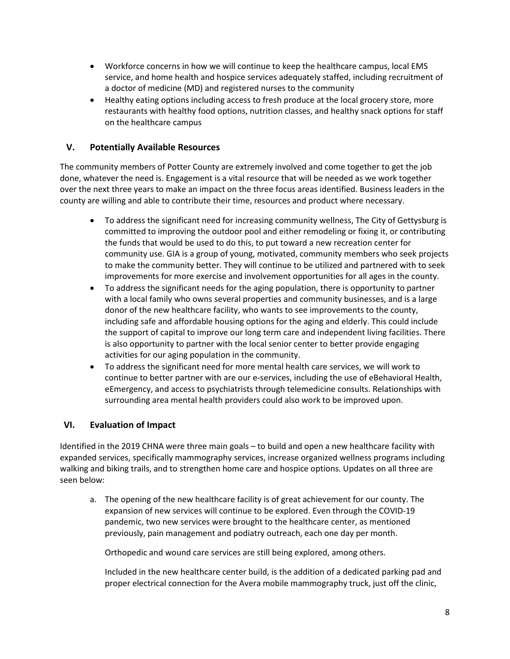- Workforce concerns in how we will continue to keep the healthcare campus, local EMS service, and home health and hospice services adequately staffed, including recruitment of a doctor of medicine (MD) and registered nurses to the community
- Healthy eating options including access to fresh produce at the local grocery store, more restaurants with healthy food options, nutrition classes, and healthy snack options for staff on the healthcare campus

# V. Potentially Available Resources

The community members of Potter County are extremely involved and come together to get the job done, whatever the need is. Engagement is a vital resource that will be needed as we work together over the next three years to make an impact on the three focus areas identified. Business leaders in the county are willing and able to contribute their time, resources and product where necessary.

- To address the significant need for increasing community wellness, The City of Gettysburg is committed to improving the outdoor pool and either remodeling or fixing it, or contributing the funds that would be used to do this, to put toward a new recreation center for community use. GIA is a group of young, motivated, community members who seek projects to make the community better. They will continue to be utilized and partnered with to seek improvements for more exercise and involvement opportunities for all ages in the county.
- To address the significant needs for the aging population, there is opportunity to partner with a local family who owns several properties and community businesses, and is a large donor of the new healthcare facility, who wants to see improvements to the county, including safe and affordable housing options for the aging and elderly. This could include the support of capital to improve our long term care and independent living facilities. There is also opportunity to partner with the local senior center to better provide engaging activities for our aging population in the community.
- To address the significant need for more mental health care services, we will work to continue to better partner with are our e-services, including the use of eBehavioral Health, eEmergency, and access to psychiatrists through telemedicine consults. Relationships with surrounding area mental health providers could also work to be improved upon.

## VI. Evaluation of Impact

Identified in the 2019 CHNA were three main goals – to build and open a new healthcare facility with expanded services, specifically mammography services, increase organized wellness programs including walking and biking trails, and to strengthen home care and hospice options. Updates on all three are seen below:

a. The opening of the new healthcare facility is of great achievement for our county. The expansion of new services will continue to be explored. Even through the COVID-19 pandemic, two new services were brought to the healthcare center, as mentioned previously, pain management and podiatry outreach, each one day per month.

Orthopedic and wound care services are still being explored, among others.

Included in the new healthcare center build, is the addition of a dedicated parking pad and proper electrical connection for the Avera mobile mammography truck, just off the clinic,